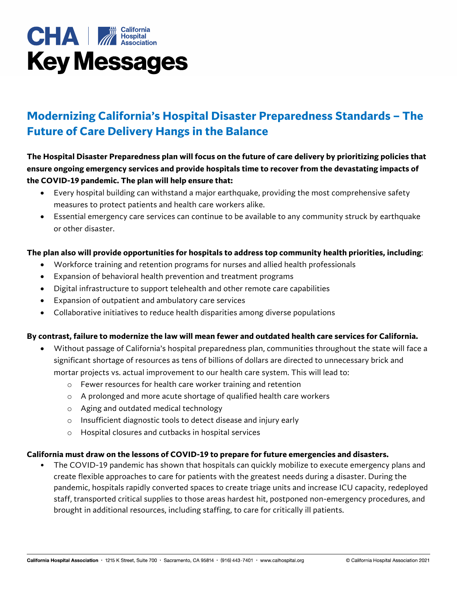# **CHA** *M* Hospital **Key Messages**

# **Modernizing California's Hospital Disaster Preparedness Standards – The Future of Care Delivery Hangs in the Balance**

# **The Hospital Disaster Preparedness plan will focus on the future of care delivery by prioritizing policies that ensure ongoing emergency services and provide hospitals time to recover from the devastating impacts of the COVID-19 pandemic. The plan will help ensure that:**

- Every hospital building can withstand a major earthquake, providing the most comprehensive safety measures to protect patients and health care workers alike.
- Essential emergency care services can continue to be available to any community struck by earthquake or other disaster.

## **The plan also will provide opportunities for hospitals to address top community health priorities, including**:

- Workforce training and retention programs for nurses and allied health professionals
- Expansion of behavioral health prevention and treatment programs
- Digital infrastructure to support telehealth and other remote care capabilities
- Expansion of outpatient and ambulatory care services
- Collaborative initiatives to reduce health disparities among diverse populations

### **By contrast, failure to modernize the law will mean fewer and outdated health care services for California.**

- Without passage of California's hospital preparedness plan, communities throughout the state will face a significant shortage of resources as tens of billions of dollars are directed to unnecessary brick and mortar projects vs. actual improvement to our health care system. This will lead to:
	- o Fewer resources for health care worker training and retention
	- o A prolonged and more acute shortage of qualified health care workers
	- o Aging and outdated medical technology
	- o Insufficient diagnostic tools to detect disease and injury early
	- o Hospital closures and cutbacks in hospital services

### **California must draw on the lessons of COVID-19 to prepare for future emergencies and disasters.**

• The COVID-19 pandemic has shown that hospitals can quickly mobilize to execute emergency plans and create flexible approaches to care for patients with the greatest needs during a disaster. During the pandemic, hospitals rapidly converted spaces to create triage units and increase ICU capacity, redeployed staff, transported critical supplies to those areas hardest hit, postponed non-emergency procedures, and brought in additional resources, including staffing, to care for critically ill patients.